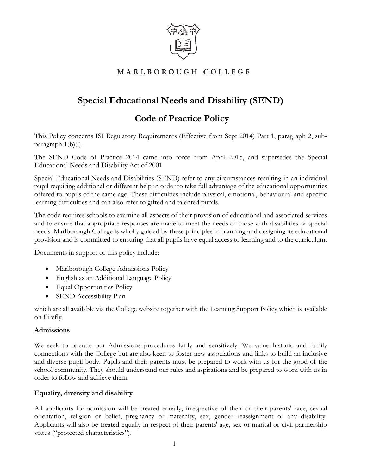

### MARLBOROUGH COLLEGE

# **Special Educational Needs and Disability (SEND)**

# **Code of Practice Policy**

This Policy concerns ISI Regulatory Requirements (Effective from Sept 2014) Part 1, paragraph 2, subparagraph 1(b)(i).

The SEND Code of Practice 2014 came into force from April 2015, and supersedes the Special Educational Needs and Disability Act of 2001

Special Educational Needs and Disabilities (SEND) refer to any circumstances resulting in an individual pupil requiring additional or different help in order to take full advantage of the educational opportunities offered to pupils of the same age. These difficulties include physical, emotional, behavioural and specific learning difficulties and can also refer to gifted and talented pupils.

The code requires schools to examine all aspects of their provision of educational and associated services and to ensure that appropriate responses are made to meet the needs of those with disabilities or special needs. Marlborough College is wholly guided by these principles in planning and designing its educational provision and is committed to ensuring that all pupils have equal access to learning and to the curriculum.

Documents in support of this policy include:

- Marlborough College Admissions Policy
- English as an Additional Language Policy
- Equal Opportunities Policy
- SEND Accessibility Plan

which are all available via the College website together with the Learning Support Policy which is available on Firefly.

#### **Admissions**

We seek to operate our Admissions procedures fairly and sensitively. We value historic and family connections with the College but are also keen to foster new associations and links to build an inclusive and diverse pupil body. Pupils and their parents must be prepared to work with us for the good of the school community. They should understand our rules and aspirations and be prepared to work with us in order to follow and achieve them.

#### **Equality, diversity and disability**

All applicants for admission will be treated equally, irrespective of their or their parents' race, sexual orientation, religion or belief, pregnancy or maternity, sex, gender reassignment or any disability. Applicants will also be treated equally in respect of their parents' age, sex or marital or civil partnership status ("protected characteristics").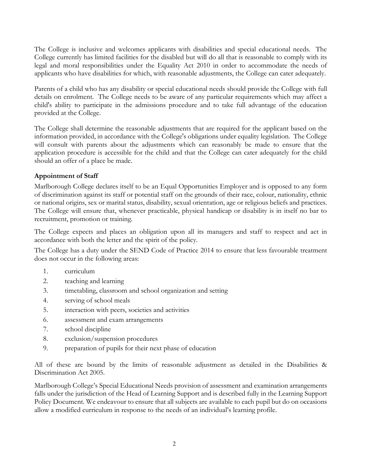The College is inclusive and welcomes applicants with disabilities and special educational needs. The College currently has limited facilities for the disabled but will do all that is reasonable to comply with its legal and moral responsibilities under the Equality Act 2010 in order to accommodate the needs of applicants who have disabilities for which, with reasonable adjustments, the College can cater adequately.

Parents of a child who has any disability or special educational needs should provide the College with full details on enrolment. The College needs to be aware of any particular requirements which may affect a child's ability to participate in the admissions procedure and to take full advantage of the education provided at the College.

The College shall determine the reasonable adjustments that are required for the applicant based on the information provided, in accordance with the College's obligations under equality legislation. The College will consult with parents about the adjustments which can reasonably be made to ensure that the application procedure is accessible for the child and that the College can cater adequately for the child should an offer of a place be made.

#### **Appointment of Staff**

Marlborough College declares itself to be an Equal Opportunities Employer and is opposed to any form of discrimination against its staff or potential staff on the grounds of their race, colour, nationality, ethnic or national origins, sex or marital status, disability, sexual orientation, age or religious beliefs and practices. The College will ensure that, whenever practicable, physical handicap or disability is in itself no bar to recruitment, promotion or training.

The College expects and places an obligation upon all its managers and staff to respect and act in accordance with both the letter and the spirit of the policy.

The College has a duty under the SEND Code of Practice 2014 to ensure that less favourable treatment does not occur in the following areas:

- 1. curriculum
- 2. teaching and learning
- 3. timetabling, classroom and school organization and setting
- 4. serving of school meals
- 5. interaction with peers, societies and activities
- 6. assessment and exam arrangements
- 7. school discipline
- 8. exclusion/suspension procedures
- 9. preparation of pupils for their next phase of education

All of these are bound by the limits of reasonable adjustment as detailed in the Disabilities & Discrimination Act 2005.

Marlborough College's Special Educational Needs provision of assessment and examination arrangements falls under the jurisdiction of the Head of Learning Support and is described fully in the Learning Support Policy Document. We endeavour to ensure that all subjects are available to each pupil but do on occasions allow a modified curriculum in response to the needs of an individual's learning profile.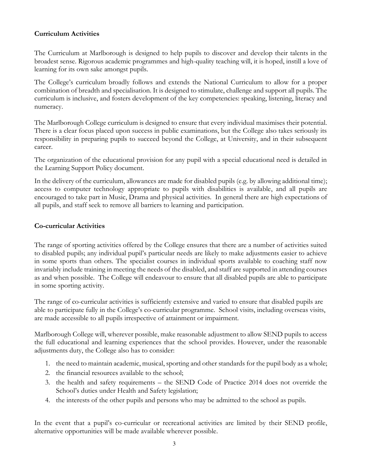#### **Curriculum Activities**

The Curriculum at Marlborough is designed to help pupils to discover and develop their talents in the broadest sense. Rigorous academic programmes and high-quality teaching will, it is hoped, instill a love of learning for its own sake amongst pupils.

The College's curriculum broadly follows and extends the National Curriculum to allow for a proper combination of breadth and specialisation. It is designed to stimulate, challenge and support all pupils. The curriculum is inclusive, and fosters development of the key competencies: speaking, listening, literacy and numeracy.

The Marlborough College curriculum is designed to ensure that every individual maximises their potential. There is a clear focus placed upon success in public examinations, but the College also takes seriously its responsibility in preparing pupils to succeed beyond the College, at University, and in their subsequent career.

The organization of the educational provision for any pupil with a special educational need is detailed in the Learning Support Policy document.

In the delivery of the curriculum, allowances are made for disabled pupils (e.g. by allowing additional time); access to computer technology appropriate to pupils with disabilities is available, and all pupils are encouraged to take part in Music, Drama and physical activities. In general there are high expectations of all pupils, and staff seek to remove all barriers to learning and participation.

#### **Co-curricular Activities**

The range of sporting activities offered by the College ensures that there are a number of activities suited to disabled pupils; any individual pupil's particular needs are likely to make adjustments easier to achieve in some sports than others. The specialist courses in individual sports available to coaching staff now invariably include training in meeting the needs of the disabled, and staff are supported in attending courses as and when possible. The College will endeavour to ensure that all disabled pupils are able to participate in some sporting activity.

The range of co-curricular activities is sufficiently extensive and varied to ensure that disabled pupils are able to participate fully in the College's co-curricular programme. School visits, including overseas visits, are made accessible to all pupils irrespective of attainment or impairment.

Marlborough College will, wherever possible, make reasonable adjustment to allow SEND pupils to access the full educational and learning experiences that the school provides. However, under the reasonable adjustments duty, the College also has to consider:

- 1. the need to maintain academic, musical, sporting and other standards for the pupil body as a whole;
- 2. the financial resources available to the school;
- 3. the health and safety requirements the SEND Code of Practice 2014 does not override the School's duties under Health and Safety legislation;
- 4. the interests of the other pupils and persons who may be admitted to the school as pupils.

In the event that a pupil's co-curricular or recreational activities are limited by their SEND profile, alternative opportunities will be made available wherever possible.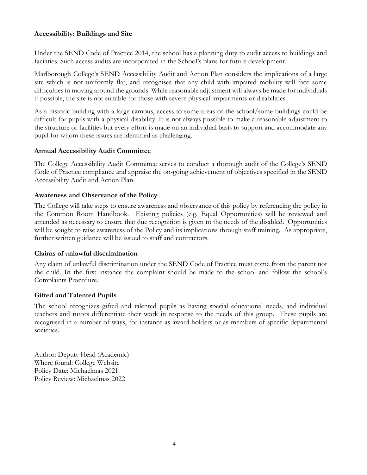#### **Accessibility: Buildings and Site**

Under the SEND Code of Practice 2014, the school has a planning duty to audit access to buildings and facilities. Such access audits are incorporated in the School's plans for future development.

Marlborough College's SEND Accessibility Audit and Action Plan considers the implications of a large site which is not uniformly flat, and recognises that any child with impaired mobility will face some difficulties in moving around the grounds. While reasonable adjustment will always be made for individuals if possible, the site is not suitable for those with severe physical impairments or disabilities.

As a historic building with a large campus, access to some areas of the school/some buildings could be difficult for pupils with a physical disability. It is not always possible to make a reasonable adjustment to the structure or facilities but every effort is made on an individual basis to support and accommodate any pupil for whom these issues are identified as challenging.

#### **Annual Accessibility Audit Committee**

The College Accessibility Audit Committee serves to conduct a thorough audit of the College's SEND Code of Practice compliance and appraise the on-going achievement of objectives specified in the SEND Accessibility Audit and Action Plan.

#### **Awareness and Observance of the Policy**

The College will take steps to ensure awareness and observance of this policy by referencing the policy in the Common Room Handbook. Existing policies (e.g. Equal Opportunities) will be reviewed and amended as necessary to ensure that due recognition is given to the needs of the disabled. Opportunities will be sought to raise awareness of the Policy and its implications through staff training. As appropriate, further written guidance will be issued to staff and contractors.

#### **Claims of unlawful discrimination**

Any claim of unlawful discrimination under the SEND Code of Practice must come from the parent not the child. In the first instance the complaint should be made to the school and follow the school's Complaints Procedure.

#### **Gifted and Talented Pupils**

The school recognizes gifted and talented pupils as having special educational needs, and individual teachers and tutors differentiate their work in response to the needs of this group. These pupils are recognised in a number of ways, for instance as award holders or as members of specific departmental societies.

Author: Deputy Head (Academic) Where found: College Website Policy Date: Michaelmas 2021 Policy Review: Michaelmas 2022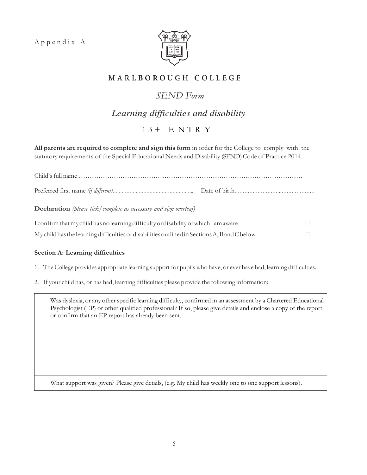$A$  p  $p$  e n d i x  $A$ 



## MARLBOROUGH COLLEGE

# *SEND Form*

## *Learning difficulties and disability*

## $13 + E N TR Y$

**All parents are required to complete and sign this form** in order for the College to comply with the statutory requirements of the Special Educational Needs and Disability (SEND) Code of Practice 2014.

| <b>Declaration</b> (please tick/complete as necessary and sign overleaf)                     |  |  |  |  |  |
|----------------------------------------------------------------------------------------------|--|--|--|--|--|
| I confirm that my child has no learning difficulty or disability of which I am aware         |  |  |  |  |  |
| My child has the learning difficulties or disabilities outlined in Sections A, B and C below |  |  |  |  |  |

#### **Section A: Learning difficulties**

1. The College provides appropriate learning support for pupils who have, or ever have had, learning difficulties.

2. If your child has, or has had, learning difficulties please provide the following information:

Was dyslexia, or any other specific learning difficulty, confirmed in an assessment by a Chartered Educational Psychologist (EP) or other qualified professional? If so, please give details and enclose a copy of the report, or confirm that an EP report has already been sent.

What support was given? Please give details, (e.g. My child has weekly one to one support lessons).